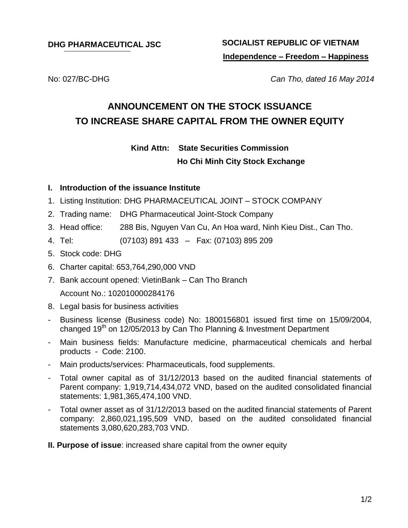# **DHG PHARMACEUTICAL JSC SOCIALIST REPUBLIC OF VIETNAM Independence – Freedom – Happiness**

No: 027/BC-DHG *Can Tho, dated 16 May 2014*

# **ANNOUNCEMENT ON THE STOCK ISSUANCE TO INCREASE SHARE CAPITAL FROM THE OWNER EQUITY**

**Kind Attn: State Securities Commission**

### **Ho Chi Minh City Stock Exchange**

### **I. Introduction of the issuance Institute**

- 1. Listing Institution: DHG PHARMACEUTICAL JOINT STOCK COMPANY
- 2. Trading name: DHG Pharmaceutical Joint-Stock Company
- 3. Head office: 288 Bis, Nguyen Van Cu, An Hoa ward, Ninh Kieu Dist., Can Tho.
- 4. Tel: (07103) 891 433 Fax: (07103) 895 209
- 5. Stock code: DHG
- 6. Charter capital: 653,764,290,000 VND
- 7. Bank account opened: VietinBank Can Tho Branch Account No.: 102010000284176
- 8. Legal basis for business activities
- Business license (Business code) No: 1800156801 issued first time on 15/09/2004, changed 19<sup>th</sup> on 12/05/2013 by Can Tho Planning & Investment Department
- Main business fields: Manufacture medicine, pharmaceutical chemicals and herbal products - Code: 2100.
- Main products/services: Pharmaceuticals, food supplements.
- Total owner capital as of 31/12/2013 based on the audited financial statements of Parent company: 1,919,714,434,072 VND, based on the audited consolidated financial statements: 1,981,365,474,100 VND.
- Total owner asset as of 31/12/2013 based on the audited financial statements of Parent company: 2,860,021,195,509 VND, based on the audited consolidated financial statements 3,080,620,283,703 VND.
- **II. Purpose of issue**: increased share capital from the owner equity